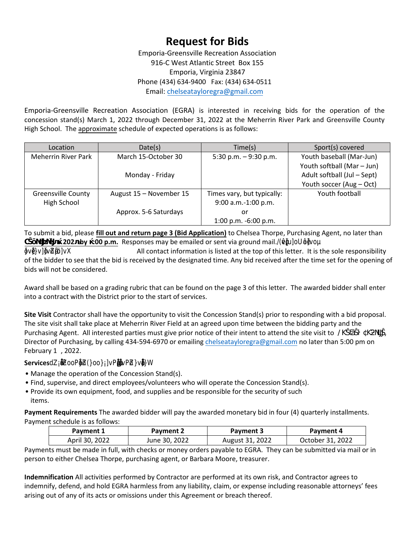## **Request for Bids**

Emporia-Greensville Recreation Association 916-C West Atlantic Street Box 155 Emporia, Virginia 23847 Phone (434) 634-9400 Fax: (434) 634-0511 Email: chelseataylor[egra@gmail.com](mailto:rebekahmossegra@gmail.com)

Emporia-Greensville Recreation Association (EGRA) is interested in receiving bids for the operation of the concession stand(s) March 1, 2022 through December 31, 2022 at the Meherrin River Park and Greensville County High School. The approximate schedule of expected operations is as follows:

| Location                  | Date(s)                 | Time(s)                    | Sport(s) covered            |
|---------------------------|-------------------------|----------------------------|-----------------------------|
| Meherrin River Park       | March 15-October 30     | 5:30 p.m. $-9:30$ p.m.     | Youth baseball (Mar-Jun)    |
|                           |                         |                            | Youth softball (Mar - Jun)  |
|                           | Monday - Friday         |                            | Adult softball (Jul - Sept) |
|                           |                         |                            | Youth soccer (Aug - Oct)    |
| <b>Greensville County</b> | August 15 - November 15 | Times vary, but typically: | Youth football              |
| High School               |                         | 9:00 a.m.-1:00 p.m.        |                             |
|                           | Approx. 5-6 Saturdays   | or                         |                             |
|                           |                         | 1:00 p.m. -6:00 p.m.       |                             |

To submit a bid, please **fill out and return page 3 (Bid Application)** to Chelsea Thorpe, Purchasing Agent, no later than **7 202 by :00 p.m.** Responses may be emailed or sent via ground mail./(•**)**bbbou

—}v•]}v]—všZ•µišo]vX All contact information is listed at the top of this letter. It is the sole responsibility of the bidder to see that the bid is received by the designated time. Any bid received after the time set for the opening of bids will not be considered.

Award shall be based on a grading rubric that can be found on the page 3 of this letter. The awarded bidder shall enter into a contract with the District prior to the start of services.

**Site Visit** Contractor shall have the opportunity to visit the Concession Stand(s) prior to responding with a bid proposal. The site visit shall take place at Meherrin River Field at an agreed upon time between the bidding party and the Purchasing Agent. All interested parties must give prior notice of their intent to attend the site visit to  $#$ Director of Purchasing, by calling 434-594-6970 or emailing [chelseatayloregra](mailto:rebekahmossegra@gmail.com)@gmail.com no later than 5:00 pm on February 11, 2022.

Services e re rs ree e i services ri ec rce eri

• Manage the operation of the Concession Stand(s).

- Find, supervise, and direct employees/volunteers who will operate the Concession Stand(s).
- Provide its own equipment, food, and supplies and be responsible for the security of such items.

**Payment Requirements** The awarded bidder will pay the awarded monetary bid in four (4) quarterly installments. Payment schedule is as follows:

| Payment 1      | Payment 2     | Payment 3       | Payment 4        |
|----------------|---------------|-----------------|------------------|
| April 30, 2022 | June 30, 2022 | August 31, 2022 | October 31, 2022 |

Payments must be made in full, with checks or money orders payable to EGRA. They can be submitted via mail or in person to either Chelsea Thorpe, purchasing agent, or Barbara Moore, treasurer.

**Indemnification** All activities performed by Contractor are performed at its own risk, and Contractor agrees to indemnify, defend, and hold EGRA harmless from any liability, claim, or expense including reasonable attorneys' fees arising out of any of its acts or omissions under this Agreement or breach thereof.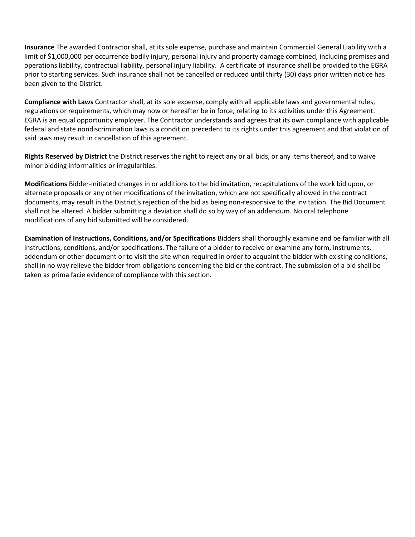**Insurance** The awarded Contractor shall, at its sole expense, purchase and maintain Commercial General Liability with a limit of \$1,000,000 per occurrence bodily injury, personal injury and property damage combined, including premises and operations liability, contractual liability, personal injury liability. A certificate of insurance shall be provided to the EGRA prior to starting services. Such insurance shall not be cancelled or reduced until thirty (30) days prior written notice has been given to the District.

**Compliance with Laws** Contractor shall, at its sole expense, comply with all applicable laws and governmental rules, regulations or requirements, which may now or hereafter be in force, relating to its activities under this Agreement. EGRA is an equal opportunity employer. The Contractor understands and agrees that its own compliance with applicable federal and state nondiscrimination laws is a condition precedent to its rights under this agreement and that violation of said laws may result in cancellation of this agreement.

**Rights Reserved by District** the District reserves the right to reject any or all bids, or any items thereof, and to waive minor bidding informalities or irregularities.

**Modifications** Bidder-initiated changes in or additions to the bid invitation, recapitulations of the work bid upon, or alternate proposals or any other modifications of the invitation, which are not specifically allowed in the contract documents, may result in the District's rejection of the bid as being non-responsive to the invitation. The Bid Document shall not be altered. A bidder submitting a deviation shall do so by way of an addendum. No oral telephone modifications of any bid submitted will be considered.

**Examination of Instructions, Conditions, and/or Specifications** Bidders shall thoroughly examine and be familiar with all instructions, conditions, and/or specifications. The failure of a bidder to receive or examine any form, instruments, addendum or other document or to visit the site when required in order to acquaint the bidder with existing conditions, shall in no way relieve the bidder from obligations concerning the bid or the contract. The submission of a bid shall be taken as prima facie evidence of compliance with this section.